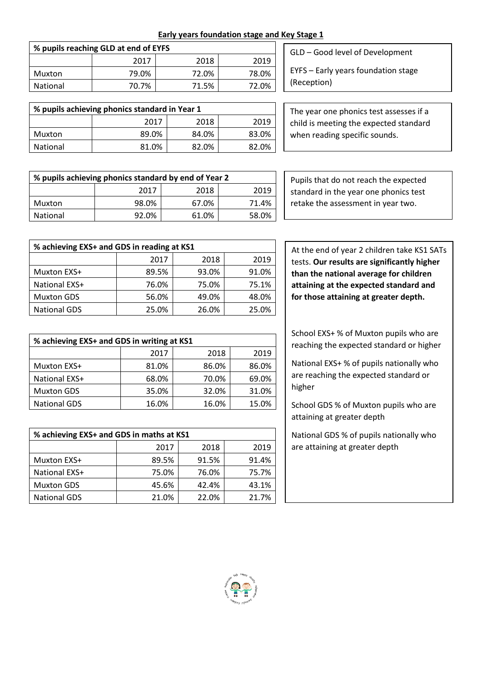**Early years foundation stage and Key Stage 1**

| % pupils reaching GLD at end of EYFS |       |       |       |
|--------------------------------------|-------|-------|-------|
|                                      | 2017  | 2018  | 2019  |
| Muxton                               | 79.0% | 72.0% | 78.0% |
| National                             | 70.7% | 71.5% | 72.0% |

| % pupils achieving phonics standard in Year 1 |       |       |       |  |
|-----------------------------------------------|-------|-------|-------|--|
| 2018<br>2019<br>2017                          |       |       |       |  |
| Muxton                                        | 89.0% | 84.0% | 83.0% |  |
| 81.0%<br>82.0%<br>82.0%<br><b>National</b>    |       |       |       |  |

| GLD - Good level of Development |
|---------------------------------|
|                                 |

EYFS – Early years foundation stage (Reception)

The year one phonics test assesses if a child is meeting the expected standard when reading specific sounds.

| % pupils achieving phonics standard by end of Year 2 |       |       |       |
|------------------------------------------------------|-------|-------|-------|
| 2018<br>2019<br>2017                                 |       |       |       |
| Muxton                                               | 98.0% | 67.0% | 71.4% |
| <b>National</b>                                      | 92.0% | 61.0% | 58.0% |

| % achieving EXS+ and GDS in reading at KS1 |       |       |       |
|--------------------------------------------|-------|-------|-------|
|                                            | 2017  | 2018  | 2019  |
| Muxton EXS+                                | 89.5% | 93.0% | 91.0% |
| National EXS+                              | 76.0% | 75.0% | 75.1% |
| <b>Muxton GDS</b>                          | 56.0% | 49.0% | 48.0% |
| <b>National GDS</b>                        | 25.0% | 26.0% | 25.0% |

| % achieving EXS+ and GDS in writing at KS1 |       |       |       |
|--------------------------------------------|-------|-------|-------|
|                                            | 2017  | 2018  | 2019  |
| <b>Muxton EXS+</b>                         | 81.0% | 86.0% | 86.0% |
| National EXS+                              | 68.0% | 70.0% | 69.0% |
| <b>Muxton GDS</b>                          | 35.0% | 32.0% | 31.0% |
| <b>National GDS</b>                        | 16.0% | 16.0% | 15.0% |

| % achieving EXS+ and GDS in maths at KS1 |       |       |       |  |
|------------------------------------------|-------|-------|-------|--|
| 2019<br>2018<br>2017                     |       |       |       |  |
| Muxton EXS+                              | 89.5% | 91.5% | 91.4% |  |
| National EXS+                            | 75.0% | 76.0% | 75.7% |  |
| <b>Muxton GDS</b>                        | 45.6% | 42.4% | 43.1% |  |
| <b>National GDS</b>                      | 21.0% | 22.0% | 21.7% |  |

At the end of year 2 children take KS1 SATs tests. **Our results are significantly higher than the national average for children attaining at the expected standard and for those attaining at greater depth.**

School EXS+ % of Muxton pupils who are reaching the expected standard or higher

National EXS+ % of pupils nationally who are reaching the expected standard or higher

School GDS % of Muxton pupils who are attaining at greater depth

National GDS % of pupils nationally who are attaining at greater depth